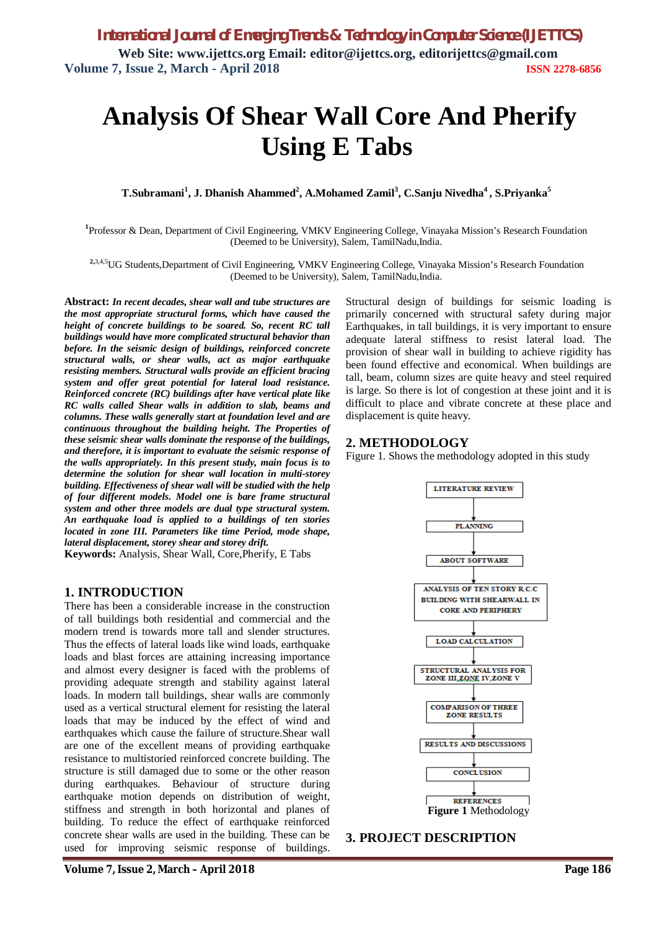# **Analysis Of Shear Wall Core And Pherify Using E Tabs**

**T.Subramani<sup>1</sup> , J. Dhanish Ahammed<sup>2</sup> , A.Mohamed Zamil<sup>3</sup> , C.Sanju Nivedha<sup>4</sup> , S.Priyanka<sup>5</sup>**

**1** Professor & Dean, Department of Civil Engineering, VMKV Engineering College, Vinayaka Mission's Research Foundation (Deemed to be University), Salem, TamilNadu,India.

**2,**3,4,5UG Students,Department of Civil Engineering, VMKV Engineering College, Vinayaka Mission's Research Foundation (Deemed to be University), Salem, TamilNadu,India.

**Abstract:** *In recent decades, shear wall and tube structures are the most appropriate structural forms, which have caused the height of concrete buildings to be soared. So, recent RC tall buildings would have more complicated structural behavior than before. In the seismic design of buildings, reinforced concrete structural walls, or shear walls, act as major earthquake resisting members. Structural walls provide an efficient bracing system and offer great potential for lateral load resistance. Reinforced concrete (RC) buildings after have vertical plate like RC walls called Shear walls in addition to slab, beams and columns. These walls generally start at foundation level and are continuous throughout the building height. The Properties of these seismic shear walls dominate the response of the buildings, and therefore, it is important to evaluate the seismic response of the walls appropriately. In this present study, main focus is to determine the solution for shear wall location in multi-storey building. Effectiveness of shear wall will be studied with the help of four different models. Model one is bare frame structural system and other three models are dual type structural system. An earthquake load is applied to a buildings of ten stories located in zone III. Parameters like time Period, mode shape, lateral displacement, storey shear and storey drift.*

**Keywords:** Analysis, Shear Wall, Core,Pherify, E Tabs

#### **1. INTRODUCTION**

There has been a considerable increase in the construction of tall buildings both residential and commercial and the modern trend is towards more tall and slender structures. Thus the effects of lateral loads like wind loads, earthquake loads and blast forces are attaining increasing importance and almost every designer is faced with the problems of providing adequate strength and stability against lateral loads. In modern tall buildings, shear walls are commonly used as a vertical structural element for resisting the lateral loads that may be induced by the effect of wind and earthquakes which cause the failure of structure.Shear wall are one of the excellent means of providing earthquake resistance to multistoried reinforced concrete building. The structure is still damaged due to some or the other reason during earthquakes. Behaviour of structure during earthquake motion depends on distribution of weight, stiffness and strength in both horizontal and planes of building. To reduce the effect of earthquake reinforced concrete shear walls are used in the building. These can be used for improving seismic response of buildings.

Structural design of buildings for seismic loading is primarily concerned with structural safety during major Earthquakes, in tall buildings, it is very important to ensure adequate lateral stiffness to resist lateral load. The provision of shear wall in building to achieve rigidity has been found effective and economical. When buildings are tall, beam, column sizes are quite heavy and steel required is large. So there is lot of congestion at these joint and it is difficult to place and vibrate concrete at these place and displacement is quite heavy.

### **2. METHODOLOGY**

Figure 1. Shows the methodology adopted in this study



### **3. PROJECT DESCRIPTION**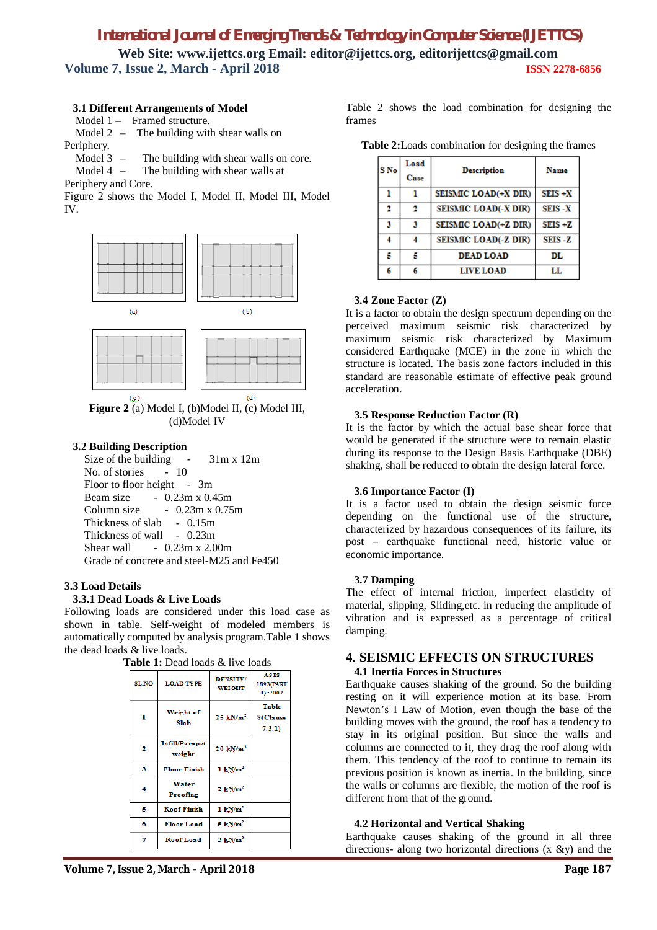# *International Journal of Emerging Trends & Technology in Computer Science (IJETTCS)*

**Web Site: www.ijettcs.org Email: editor@ijettcs.org, editorijettcs@gmail.com Volume 7, Issue 2, March - April 2018 ISSN 2278-6856**

### **3.1 Different Arrangements of Model**

Model 1 – Framed structure.

Model 2 – The building with shear walls on Periphery.

Model 3 – The building with shear walls on core.

Model 4 – The building with shear walls at

Periphery and Core.

Figure 2 shows the Model I, Model II, Model III, Model IV.



 $(d)$  $(c)$ **Figure 2** (a) Model I, (b)Model II, (c) Model III, (d)Model IV

### **3.2 Building Description**

Size of the building - 31m x 12m No. of stories - 10 Floor to floor height - 3m Beam size - 0.23m x 0.45m Column size  $-0.23$ m x 0.75m Thickness of slab - 0.15m Thickness of wall - 0.23m Shear wall  $-0.23$ m x 2.00m Grade of concrete and steel-M25 and Fe450

### **3.3 Load Details**

### **3.3.1 Dead Loads & Live Loads**

Following loads are considered under this load case as shown in table. Self-weight of modeled members is automatically computed by analysis program.Table 1 shows the dead loads & live loads.

| 20 cas 10as p |                                 |                                  |                                     |
|---------------|---------------------------------|----------------------------------|-------------------------------------|
| SL NO         | <b>LOAD TYPE</b>                | <b>DENSITY/</b><br><b>WEIGHT</b> | <b>ASIS</b><br>1893(PART<br>1):2002 |
| ı             | Weight of<br><b>Slab</b>        | $25 \text{ kN/m}^2$              | Table<br><b>8(Clause</b><br>(7.3.1) |
| 2             | <b>Infill/Parapet</b><br>weight | $20 \text{ kN/m}^3$              |                                     |
| 3             | <b>Floor Finish</b>             | $1 \text{ kN/m}^2$               |                                     |
|               | Water<br>Proofing               | $2$ kN/ $m2$                     |                                     |
| Б             | <b>Roof Finish</b>              | $1 \text{ kN/m}^2$               |                                     |
| 6             | <b>Floor Load</b>               | $5 \text{ kN/m}^2$               |                                     |
|               | Roof Load                       | $3 \text{ kN/m}^2$               |                                     |

Table 2 shows the load combination for designing the frames

| S No | Load<br>Case | <b>Description</b>   | Name          |
|------|--------------|----------------------|---------------|
|      |              | SEISMIC LOAD(+X DIR) | $SEIS + X$    |
|      | 2            | SEISMIC LOAD(-X DIR) | <b>SEIS-X</b> |
| з    | 3            | SEISMIC LOAD(+Z DIR) | $SEIS + Z$    |
|      |              | SEISMIC LOAD(-Z DIR) | SEIS-Z        |
|      |              | <b>DEAD LOAD</b>     | DL            |
| 6    | 6            | <b>LIVE LOAD</b>     | LL            |

#### **3.4 Zone Factor (Z)**

It is a factor to obtain the design spectrum depending on the perceived maximum seismic risk characterized by maximum seismic risk characterized by Maximum considered Earthquake (MCE) in the zone in which the structure is located. The basis zone factors included in this standard are reasonable estimate of effective peak ground acceleration.

### **3.5 Response Reduction Factor (R)**

It is the factor by which the actual base shear force that would be generated if the structure were to remain elastic during its response to the Design Basis Earthquake (DBE) shaking, shall be reduced to obtain the design lateral force.

#### **3.6 Importance Factor (I)**

It is a factor used to obtain the design seismic force depending on the functional use of the structure, characterized by hazardous consequences of its failure, its post – earthquake functional need, historic value or economic importance.

#### **3.7 Damping**

The effect of internal friction, imperfect elasticity of material, slipping, Sliding,etc. in reducing the amplitude of vibration and is expressed as a percentage of critical damping.

# **4. SEISMIC EFFECTS ON STRUCTURES**

### **4.1 Inertia Forces in Structures**

Earthquake causes shaking of the ground. So the building resting on it will experience motion at its base. From Newton's I Law of Motion, even though the base of the building moves with the ground, the roof has a tendency to stay in its original position. But since the walls and columns are connected to it, they drag the roof along with them. This tendency of the roof to continue to remain its previous position is known as inertia. In the building, since the walls or columns are flexible, the motion of the roof is different from that of the ground.

### **4.2 Horizontal and Vertical Shaking**

Earthquake causes shaking of the ground in all three directions- along two horizontal directions  $(x \& y)$  and the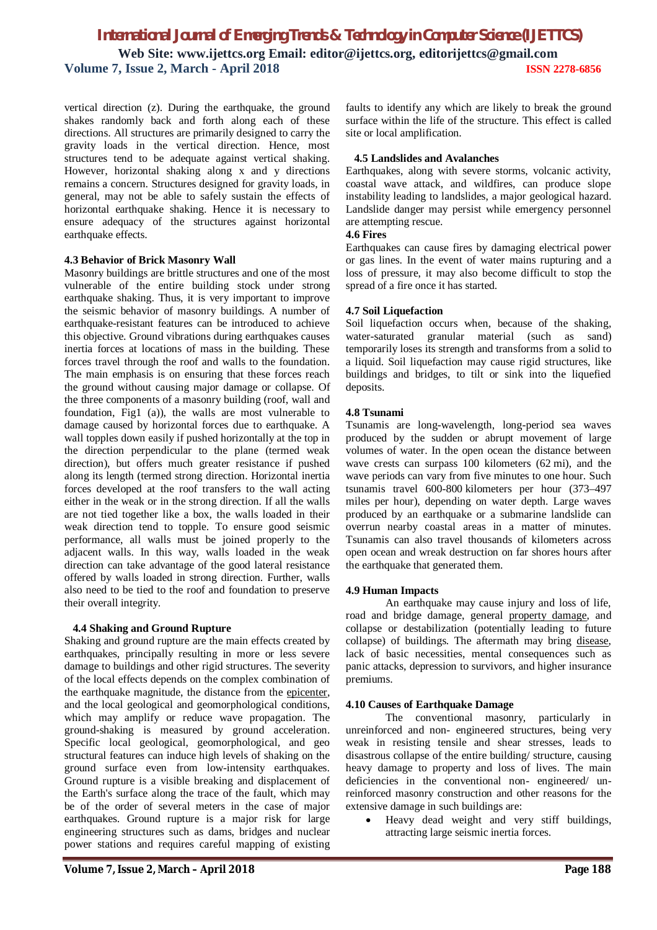vertical direction (z). During the earthquake, the ground shakes randomly back and forth along each of these directions. All structures are primarily designed to carry the gravity loads in the vertical direction. Hence, most structures tend to be adequate against vertical shaking. However, horizontal shaking along x and y directions remains a concern. Structures designed for gravity loads, in general, may not be able to safely sustain the effects of horizontal earthquake shaking. Hence it is necessary to ensure adequacy of the structures against horizontal earthquake effects.

#### **4.3 Behavior of Brick Masonry Wall**

Masonry buildings are brittle structures and one of the most vulnerable of the entire building stock under strong earthquake shaking. Thus, it is very important to improve the seismic behavior of masonry buildings. A number of earthquake-resistant features can be introduced to achieve this objective. Ground vibrations during earthquakes causes inertia forces at locations of mass in the building. These forces travel through the roof and walls to the foundation. The main emphasis is on ensuring that these forces reach the ground without causing major damage or collapse. Of the three components of a masonry building (roof, wall and foundation, Fig1 (a)), the walls are most vulnerable to damage caused by horizontal forces due to earthquake. A wall topples down easily if pushed horizontally at the top in the direction perpendicular to the plane (termed weak direction), but offers much greater resistance if pushed along its length (termed strong direction. Horizontal inertia forces developed at the roof transfers to the wall acting either in the weak or in the strong direction. If all the walls are not tied together like a box, the walls loaded in their weak direction tend to topple. To ensure good seismic performance, all walls must be joined properly to the adjacent walls. In this way, walls loaded in the weak direction can take advantage of the good lateral resistance offered by walls loaded in strong direction. Further, walls also need to be tied to the roof and foundation to preserve their overall integrity.

### **4.4 Shaking and Ground Rupture**

Shaking and ground rupture are the main effects created by earthquakes, principally resulting in more or less severe damage to buildings and other rigid structures. The severity of the local effects depends on the complex combination of the earthquake magnitude, the distance from the epicenter, and the local geological and geomorphological conditions, which may amplify or reduce wave propagation. The ground-shaking is measured by ground acceleration. Specific local geological, geomorphological, and geo structural features can induce high levels of shaking on the ground surface even from low-intensity earthquakes. Ground rupture is a visible breaking and displacement of the Earth's surface along the trace of the fault, which may be of the order of several meters in the case of major earthquakes. Ground rupture is a major risk for large engineering structures such as dams, bridges and nuclear power stations and requires careful mapping of existing

faults to identify any which are likely to break the ground surface within the life of the structure. This effect is called site or local amplification.

### **4.5 Landslides and Avalanches**

Earthquakes, along with severe storms, volcanic activity, coastal wave attack, and wildfires, can produce slope instability leading to landslides, a major geological hazard. Landslide danger may persist while emergency personnel are attempting rescue.

#### **4.6 Fires**

Earthquakes can cause fires by damaging electrical power or gas lines. In the event of water mains rupturing and a loss of pressure, it may also become difficult to stop the spread of a fire once it has started.

#### **4.7 Soil Liquefaction**

Soil liquefaction occurs when, because of the shaking, water-saturated granular material (such as sand) temporarily loses its strength and transforms from a solid to a liquid. Soil liquefaction may cause rigid structures, like buildings and bridges, to tilt or sink into the liquefied deposits.

#### **4.8 Tsunami**

Tsunamis are long-wavelength, long-period sea waves produced by the sudden or abrupt movement of large volumes of water. In the open ocean the distance between wave crests can surpass 100 kilometers (62 mi), and the wave periods can vary from five minutes to one hour. Such tsunamis travel 600-800 kilometers per hour (373–497 miles per hour), depending on water depth. Large waves produced by an earthquake or a submarine landslide can overrun nearby coastal areas in a matter of minutes. Tsunamis can also travel thousands of kilometers across open ocean and wreak destruction on far shores hours after the earthquake that generated them.

#### **4.9 Human Impacts**

An earthquake may cause injury and loss of life, road and bridge damage, general property damage, and collapse or destabilization (potentially leading to future collapse) of buildings. The aftermath may bring disease, lack of basic necessities, mental consequences such as panic attacks, depression to survivors, and higher insurance premiums.

#### **4.10 Causes of Earthquake Damage**

The conventional masonry, particularly in unreinforced and non- engineered structures, being very weak in resisting tensile and shear stresses, leads to disastrous collapse of the entire building/ structure, causing heavy damage to property and loss of lives. The main deficiencies in the conventional non- engineered/ unreinforced masonry construction and other reasons for the extensive damage in such buildings are:

 Heavy dead weight and very stiff buildings, attracting large seismic inertia forces.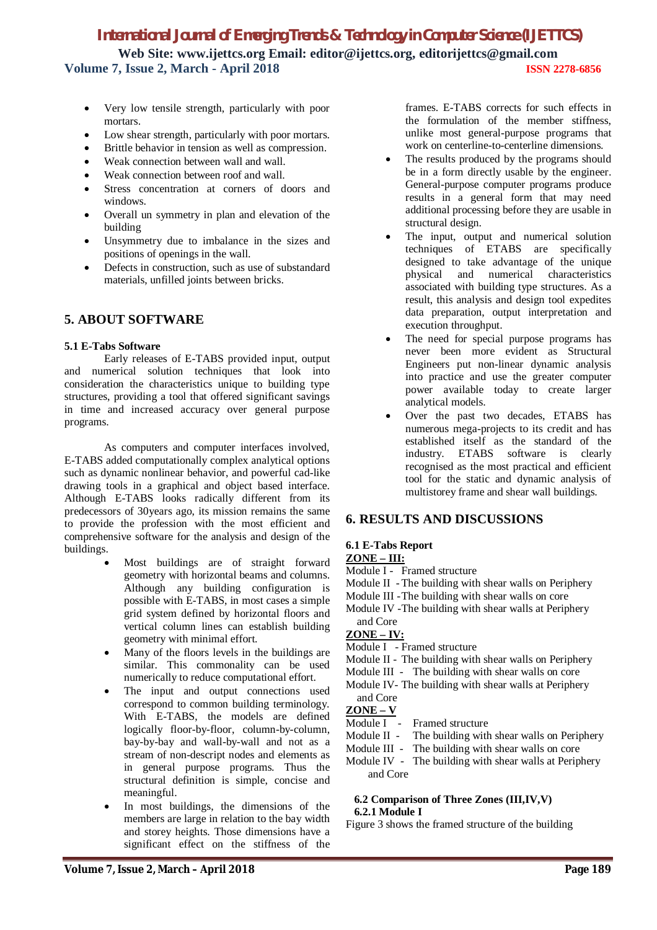- Very low tensile strength, particularly with poor mortars.
- Low shear strength, particularly with poor mortars.
- Brittle behavior in tension as well as compression.
- Weak connection between wall and wall.
- Weak connection between roof and wall.
- Stress concentration at corners of doors and windows.
- Overall un symmetry in plan and elevation of the building
- Unsymmetry due to imbalance in the sizes and positions of openings in the wall.
- Defects in construction, such as use of substandard materials, unfilled joints between bricks.

### **5. ABOUT SOFTWARE**

### **5.1 E-Tabs Software**

Early releases of E-TABS provided input, output and numerical solution techniques that look into consideration the characteristics unique to building type structures, providing a tool that offered significant savings in time and increased accuracy over general purpose programs.

As computers and computer interfaces involved, E-TABS added computationally complex analytical options such as dynamic nonlinear behavior, and powerful cad-like drawing tools in a graphical and object based interface. Although E-TABS looks radically different from its predecessors of 30years ago, its mission remains the same to provide the profession with the most efficient and comprehensive software for the analysis and design of the buildings.

- Most buildings are of straight forward geometry with horizontal beams and columns. Although any building configuration is possible with E-TABS, in most cases a simple grid system defined by horizontal floors and vertical column lines can establish building geometry with minimal effort.
- Many of the floors levels in the buildings are similar. This commonality can be used numerically to reduce computational effort.
- The input and output connections used correspond to common building terminology. With E-TABS, the models are defined logically floor-by-floor, column-by-column, bay-by-bay and wall-by-wall and not as a stream of non-descript nodes and elements as in general purpose programs. Thus the structural definition is simple, concise and meaningful.
- In most buildings, the dimensions of the members are large in relation to the bay width and storey heights. Those dimensions have a significant effect on the stiffness of the

frames. E-TABS corrects for such effects in the formulation of the member stiffness, unlike most general-purpose programs that work on centerline-to-centerline dimensions.

- The results produced by the programs should be in a form directly usable by the engineer. General-purpose computer programs produce results in a general form that may need additional processing before they are usable in structural design.
- The input, output and numerical solution techniques of ETABS are specifically designed to take advantage of the unique physical and numerical characteristics associated with building type structures. As a result, this analysis and design tool expedites data preparation, output interpretation and execution throughput.
- The need for special purpose programs has never been more evident as Structural Engineers put non-linear dynamic analysis into practice and use the greater computer power available today to create larger analytical models.
- Over the past two decades, ETABS has numerous mega-projects to its credit and has established itself as the standard of the industry. ETABS software is clearly industry. ETABS software is recognised as the most practical and efficient tool for the static and dynamic analysis of multistorey frame and shear wall buildings.

### **6. RESULTS AND DISCUSSIONS**

### **6.1 E-Tabs Report**

### **ZONE – III:**

- Module I Framed structure
- Module II The building with shear walls on Periphery
- Module III -The building with shear walls on core
- Module IV -The building with shear walls at Periphery

### and Core **ZONE – IV:**

- Module I Framed structure
- Module II The building with shear walls on Periphery
- Module III The building with shear walls on core
- Module IV- The building with shear walls at Periphery and Core

### **ZONE – V**

- Module I Framed structure
- Module II The building with shear walls on Periphery
- Module III The building with shear walls on core
- Module IV The building with shear walls at Periphery and Core

#### **6.2 Comparison of Three Zones (III,IV,V) 6.2.1 Module I**

Figure 3 shows the framed structure of the building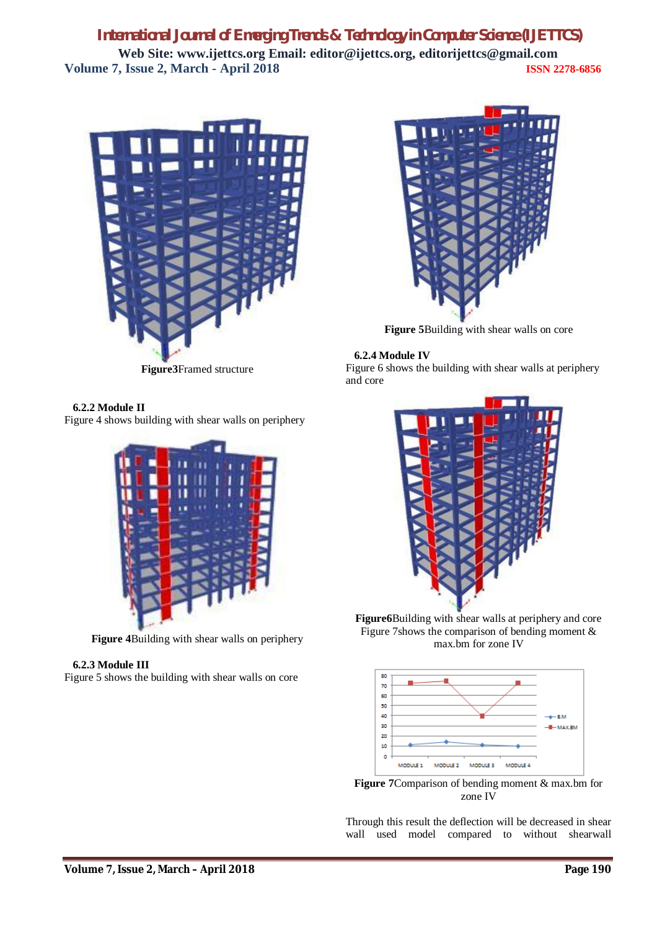

**Figure3**Framed structure

### **6.2.2 Module II**

Figure 4 shows building with shear walls on periphery



**Figure 4**Building with shear walls on periphery

### **6.2.3 Module III**

Figure 5 shows the building with shear walls on core



**Figure 5**Building with shear walls on core

### **6.2.4 Module IV**

Figure 6 shows the building with shear walls at periphery and core



**Figure6**Building with shear walls at periphery and core Figure 7shows the comparison of bending moment & max.bm for zone IV



**Figure 7**Comparison of bending moment & max.bm for zone IV

Through this result the deflection will be decreased in shear wall used model compared to without shearwall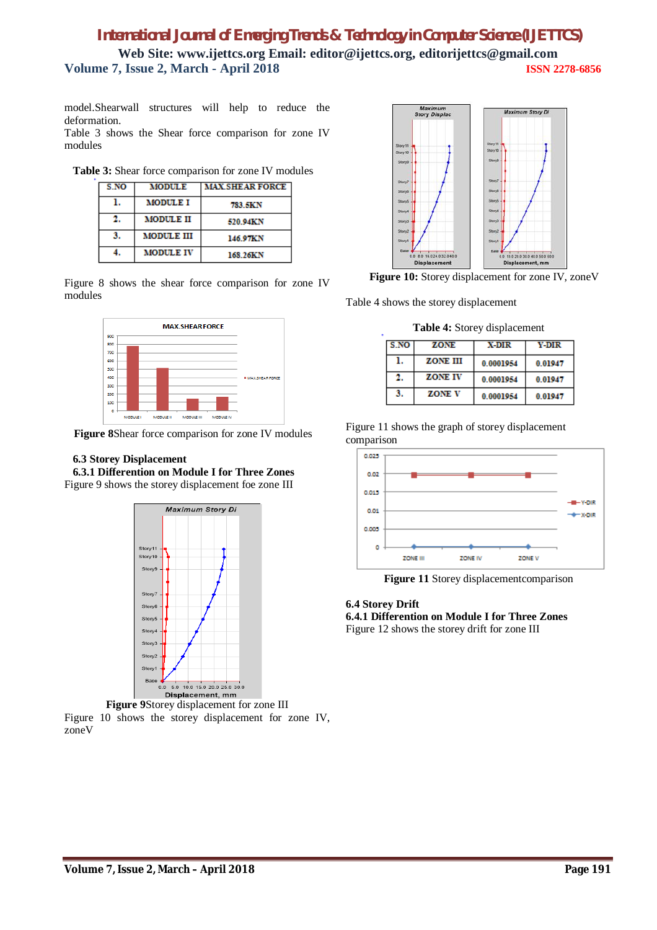model.Shearwall structures will help to reduce the deformation.

Table 3 shows the Shear force comparison for zone IV modules

|  |  | Table 3: Shear force comparison for zone IV modules |  |  |
|--|--|-----------------------------------------------------|--|--|
|--|--|-----------------------------------------------------|--|--|

| S.NO | <b>MODULE</b>    | <b>MAX SHEAR FORCE</b> |
|------|------------------|------------------------|
|      | <b>MODULE I</b>  | 783.5KN                |
|      | <b>MODULE II</b> | 520.94KN               |
| 3.   | MODULE III       | 146.97KN               |
|      | <b>MODULE IV</b> | 168.26KN               |

Figure 8 shows the shear force comparison for zone IV modules



**Figure 8**Shear force comparison for zone IV modules

#### **6.3 Storey Displacement**

 **6.3.1 Differention on Module I for Three Zones**  Figure 9 shows the storey displacement foe zone III



**Figure 9**Storey displacement for zone III Figure 10 shows the storey displacement for zone IV, zoneV



**Figure 10:** Storey displacement for zone IV, zoneV

Table 4 shows the storey displacement

**Table 4:** Storey displacement

| S.NO | ZONE            | X-DIR     | Y-DIR   |
|------|-----------------|-----------|---------|
|      | <b>ZONE III</b> | 0.0001954 | 0.01947 |
|      | <b>ZONE IV</b>  | 0.0001954 | 0.01947 |
| 3.   | <b>ZONE V</b>   | 0.0001954 | 0.01947 |

Figure 11 shows the graph of storey displacement comparison



**Figure 11** Storey displacementcomparison

### **6.4 Storey Drift**

**6.4.1 Differention on Module I for Three Zones** Figure 12 shows the storey drift for zone III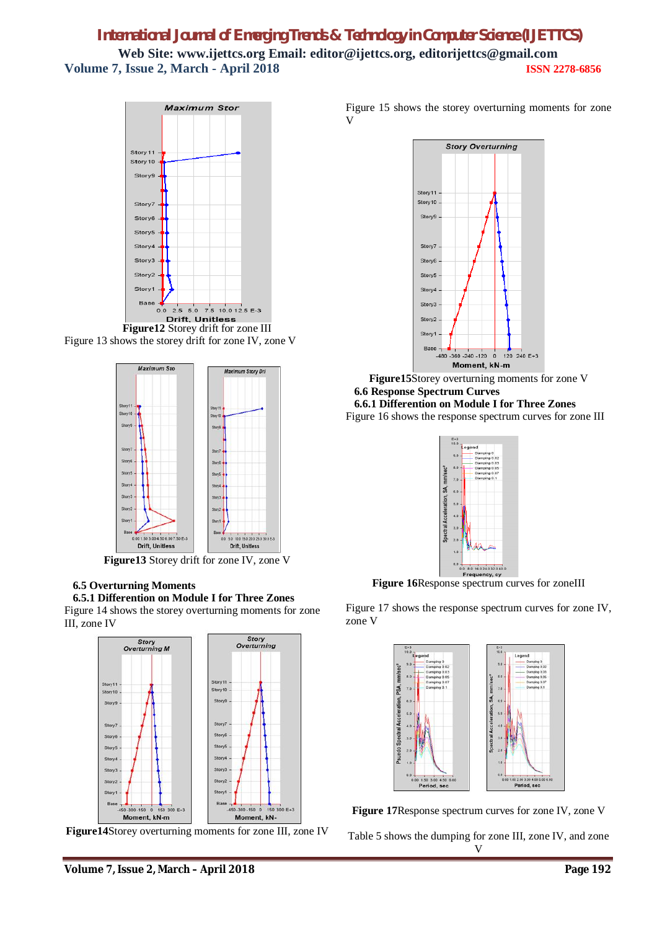

Figure 13 shows the storey drift for zone IV, zone V



**Figure13** Storey drift for zone IV, zone V

### **6.5 Overturning Moments**

 **6.5.1 Differention on Module I for Three Zones** Figure 14 shows the storey overturning moments for zone III, zone IV



**Figure14**Storey overturning moments for zone III, zone IV

Figure 15 shows the storey overturning moments for zone V



**Figure15**Storey overturning moments for zone V  **6.6 Response Spectrum Curves**

 **6.6.1 Differention on Module I for Three Zones** Figure 16 shows the response spectrum curves for zone III



**Figure 16**Response spectrum curves for zoneIII

Figure 17 shows the response spectrum curves for zone IV, zone V



**Figure 17**Response spectrum curves for zone IV, zone V

Table 5 shows the dumping for zone III, zone IV, and zone V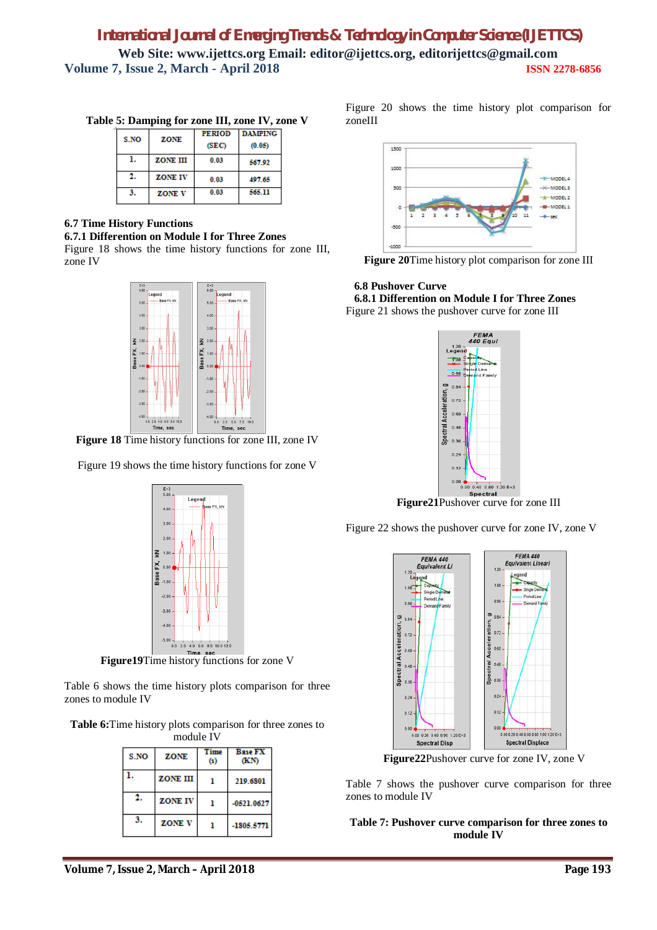| S.NO | ZONE            | <b>PERIOD</b><br>(SEC) | <b>DAMPING</b><br>(0.05) |
|------|-----------------|------------------------|--------------------------|
|      | <b>ZONE III</b> | 0.03                   | 567.92                   |
| 2.   | <b>ZONE IV</b>  | 0.03                   | 497.65                   |
| 3.   | <b>ZONE V</b>   | 0.03                   | 565.11                   |

**Table 5: Damping for zone III, zone IV, zone V**

### **6.7 Time History Functions**

#### **6.7.1 Differention on Module I for Three Zones**

Figure 18 shows the time history functions for zone III, zone IV



**Figure 18** Time history functions for zone III, zone IV

Figure 19 shows the time history functions for zone V



**Figure19**Time history functions for zone V

Table 6 shows the time history plots comparison for three zones to module IV

**Table 6:**Time history plots comparison for three zones to module IV

| S.NO | ZONE            | Time<br>ω | <b>Base FX</b><br>(KN) |  |  |
|------|-----------------|-----------|------------------------|--|--|
|      | <b>ZONE III</b> |           | 219.6801               |  |  |
|      | <b>ZONE IV</b>  |           | $-0521.0627$           |  |  |
| 3.   | <b>ZONE V</b>   |           | -1805.5771             |  |  |

Figure 20 shows the time history plot comparison for zoneIII



**Figure 20**Time history plot comparison for zone III

### **6.8 Pushover Curve**

 **6.8.1 Differention on Module I for Three Zones** Figure 21 shows the pushover curve for zone III



**Figure21**Pushover curve for zone III

Figure 22 shows the pushover curve for zone IV, zone V



**Figure22**Pushover curve for zone IV, zone V

Table 7 shows the pushover curve comparison for three zones to module IV

**Table 7: Pushover curve comparison for three zones to module IV**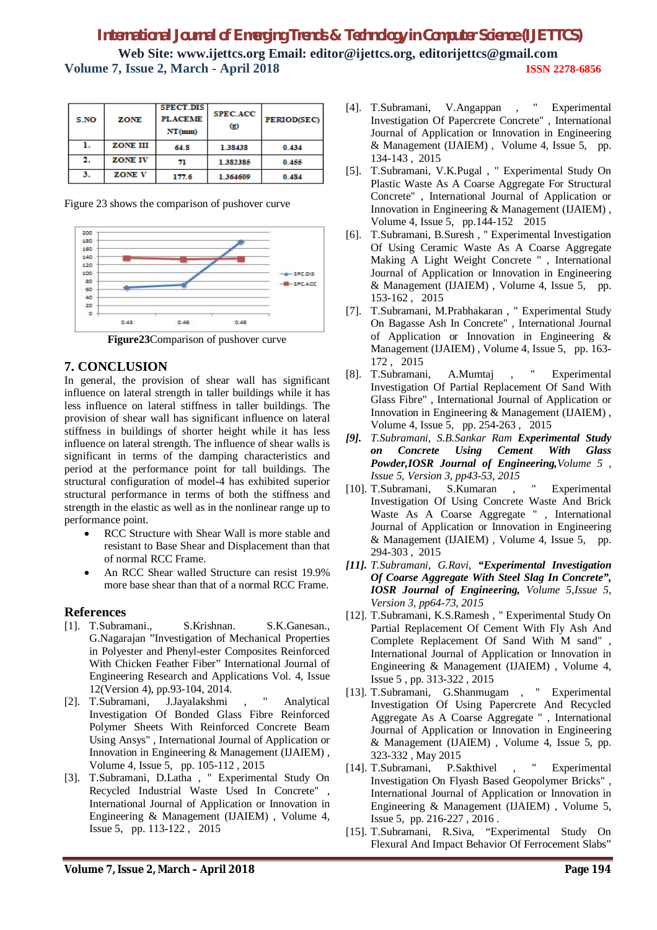| S.NO | ZONE           | <b>SPECT.DIS</b><br><b>PLACEME</b><br>NT(mm) | <b>SPEC.ACC</b><br>$\left( g \right)$ | PERIOD(SEC) |
|------|----------------|----------------------------------------------|---------------------------------------|-------------|
|      | ZONE III       | 64.8                                         | 1.38438                               | 0.434       |
| 2.   | <b>ZONE IV</b> | 71                                           | 1.382385                              | 0.455       |
| 3.   | <b>ZONE V</b>  | 177.6                                        | 1.364609                              | 0.484       |

Figure 23 shows the comparison of pushover curve



**Figure23**Comparison of pushover curve

### **7. CONCLUSION**

In general, the provision of shear wall has significant influence on lateral strength in taller buildings while it has less influence on lateral stiffness in taller buildings. The provision of shear wall has significant influence on lateral stiffness in buildings of shorter height while it has less influence on lateral strength. The influence of shear walls is significant in terms of the damping characteristics and period at the performance point for tall buildings. The structural configuration of model-4 has exhibited superior structural performance in terms of both the stiffness and strength in the elastic as well as in the nonlinear range up to performance point.

- RCC Structure with Shear Wall is more stable and resistant to Base Shear and Displacement than that of normal RCC Frame.
- An RCC Shear walled Structure can resist 19.9% more base shear than that of a normal RCC Frame.

### **References**

- [1]. T.Subramani., S.Krishnan. S.K.Ganesan., G.Nagarajan "Investigation of Mechanical Properties in Polyester and Phenyl-ester Composites Reinforced With Chicken Feather Fiber" International Journal of Engineering Research and Applications Vol. 4, Issue 12(Version 4), pp.93-104, 2014.
- [2]. T.Subramani, J.Jayalakshmi , " Analytical Investigation Of Bonded Glass Fibre Reinforced Polymer Sheets With Reinforced Concrete Beam Using Ansys" , International Journal of Application or Innovation in Engineering & Management (IJAIEM) , Volume 4, Issue 5, pp. 105-112 , 2015
- [3]. T.Subramani, D.Latha , " Experimental Study On Recycled Industrial Waste Used In Concrete" , International Journal of Application or Innovation in Engineering & Management (IJAIEM) , Volume 4, Issue 5, pp. 113-122 , 2015
- [4]. T.Subramani, V.Angappan , " Experimental Investigation Of Papercrete Concrete" , International Journal of Application or Innovation in Engineering & Management (IJAIEM) , Volume 4, Issue 5, pp. 134-143 , 2015
- [5]. T.Subramani, V.K.Pugal , " Experimental Study On Plastic Waste As A Coarse Aggregate For Structural Concrete" , International Journal of Application or Innovation in Engineering & Management (IJAIEM) , Volume 4, Issue 5, pp.144-152 2015
- [6]. T.Subramani, B.Suresh , " Experimental Investigation Of Using Ceramic Waste As A Coarse Aggregate Making A Light Weight Concrete " , International Journal of Application or Innovation in Engineering & Management (IJAIEM) , Volume 4, Issue 5, pp. 153-162 , 2015
- [7]. T.Subramani, M.Prabhakaran , " Experimental Study On Bagasse Ash In Concrete" , International Journal of Application or Innovation in Engineering & Management (IJAIEM) , Volume 4, Issue 5, pp. 163- 172 , 2015
- [8]. T.Subramani, A.Mumtaj , " Experimental Investigation Of Partial Replacement Of Sand With Glass Fibre" , International Journal of Application or Innovation in Engineering & Management (IJAIEM) , Volume 4, Issue 5, pp. 254-263 , 2015
- *[9]. T.Subramani, S.B.Sankar Ram Experimental Study on Concrete Using Cement With Glass Powder,IOSR Journal of Engineering,Volume 5 ,*
- *Issue 5, Version 3, pp43-53, 2015* [10]. T.Subramani, S.Kumaran , " Experimental Investigation Of Using Concrete Waste And Brick Waste As A Coarse Aggregate " , International Journal of Application or Innovation in Engineering & Management (IJAIEM) , Volume 4, Issue 5, pp. 294-303 , 2015
- *[11]. T.Subramani, G.Ravi, "Experimental Investigation Of Coarse Aggregate With Steel Slag In Concrete", IOSR Journal of Engineering, Volume 5,Issue 5, Version 3, pp64-73, 2015*
- [12]. T.Subramani, K.S.Ramesh , " Experimental Study On Partial Replacement Of Cement With Fly Ash And Complete Replacement Of Sand With M sand" , International Journal of Application or Innovation in Engineering & Management (IJAIEM) , Volume 4, Issue 5 , pp. 313-322 , 2015
- [13]. T.Subramani, G.Shanmugam , " Experimental Investigation Of Using Papercrete And Recycled Aggregate As A Coarse Aggregate " , International Journal of Application or Innovation in Engineering & Management (IJAIEM) , Volume 4, Issue 5, pp. 323-332 , May 2015
- [14]. T.Subramani, P.Sakthivel , " Experimental Investigation On Flyash Based Geopolymer Bricks" , International Journal of Application or Innovation in Engineering & Management (IJAIEM) , Volume 5, Issue 5, pp. 216-227 , 2016 .
- [15]. T.Subramani, R.Siva, "Experimental Study On Flexural And Impact Behavior Of Ferrocement Slabs"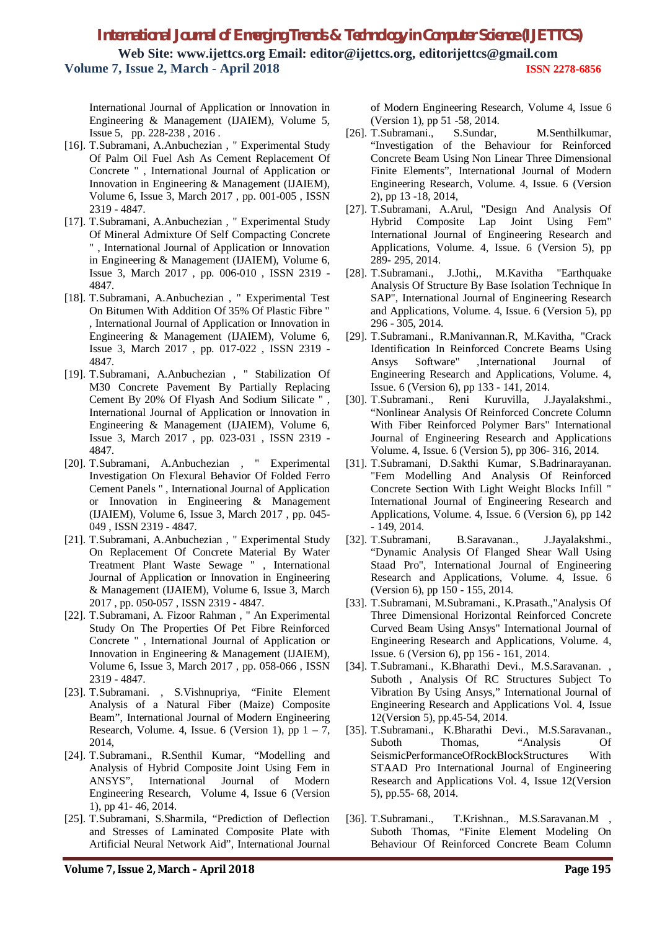International Journal of Application or Innovation in Engineering & Management (IJAIEM), Volume 5, Issue 5, pp. 228-238 , 2016 .

- [16]. T.Subramani, A.Anbuchezian , " Experimental Study Of Palm Oil Fuel Ash As Cement Replacement Of Concrete " , International Journal of Application or Innovation in Engineering & Management (IJAIEM), Volume 6, Issue 3, March 2017 , pp. 001-005 , ISSN 2319 - 4847.
- [17]. T.Subramani, A.Anbuchezian , " Experimental Study Of Mineral Admixture Of Self Compacting Concrete " , International Journal of Application or Innovation in Engineering & Management (IJAIEM), Volume 6, Issue 3, March 2017 , pp. 006-010 , ISSN 2319 - 4847.
- [18]. T.Subramani, A.Anbuchezian , " Experimental Test On Bitumen With Addition Of 35% Of Plastic Fibre " , International Journal of Application or Innovation in Engineering & Management (IJAIEM), Volume 6, Issue 3, March 2017 , pp. 017-022 , ISSN 2319 - 4847.
- [19]. T.Subramani, A.Anbuchezian , " Stabilization Of M30 Concrete Pavement By Partially Replacing Cement By 20% Of Flyash And Sodium Silicate " , International Journal of Application or Innovation in Engineering & Management (IJAIEM), Volume 6, Issue 3, March 2017 , pp. 023-031 , ISSN 2319 - 4847.
- [20]. T.Subramani, A.Anbuchezian , " Experimental Investigation On Flexural Behavior Of Folded Ferro Cement Panels " , International Journal of Application or Innovation in Engineering & Management (IJAIEM), Volume 6, Issue 3, March 2017 , pp. 045- 049 , ISSN 2319 - 4847.
- [21]. T.Subramani, A.Anbuchezian , " Experimental Study On Replacement Of Concrete Material By Water Treatment Plant Waste Sewage " , International Journal of Application or Innovation in Engineering & Management (IJAIEM), Volume 6, Issue 3, March 2017 , pp. 050-057 , ISSN 2319 - 4847.
- [22]. T.Subramani, A. Fizoor Rahman , " An Experimental Study On The Properties Of Pet Fibre Reinforced Concrete " , International Journal of Application or Innovation in Engineering & Management (IJAIEM), Volume 6, Issue 3, March 2017 , pp. 058-066 , ISSN 2319 - 4847.
- [23]. T.Subramani. , S.Vishnupriya, "Finite Element Analysis of a Natural Fiber (Maize) Composite Beam", International Journal of Modern Engineering Research, Volume. 4, Issue. 6 (Version 1), pp  $1 - 7$ , 2014,
- [24]. T.Subramani., R.Senthil Kumar, "Modelling and Analysis of Hybrid Composite Joint Using Fem in ANSYS", International Journal of Modern Engineering Research, Volume 4, Issue 6 (Version 1), pp 41- 46, 2014.
- [25]. T.Subramani, S.Sharmila, "Prediction of Deflection and Stresses of Laminated Composite Plate with Artificial Neural Network Aid", International Journal

of Modern Engineering Research, Volume 4, Issue 6 (Version 1), pp 51 -58, 2014.

- [26]. T.Subramani. S.Sundar. M.Senthilkumar, "Investigation of the Behaviour for Reinforced Concrete Beam Using Non Linear Three Dimensional Finite Elements", International Journal of Modern Engineering Research, Volume. 4, Issue. 6 (Version 2), pp 13 -18, 2014,
- [27]. T.Subramani, A.Arul, "Design And Analysis Of Hybrid Composite Lap Joint Using Fem" International Journal of Engineering Research and Applications, Volume. 4, Issue. 6 (Version 5), pp 289- 295, 2014.
- [28]. T.Subramani., J.Jothi,, M.Kavitha "Earthquake Analysis Of Structure By Base Isolation Technique In SAP", International Journal of Engineering Research and Applications, Volume. 4, Issue. 6 (Version 5), pp 296 - 305, 2014.
- [29]. T.Subramani., R.Manivannan.R, M.Kavitha, "Crack Identification In Reinforced Concrete Beams Using Ansys Software" ,International Journal of Engineering Research and Applications, Volume. 4, Issue. 6 (Version 6), pp 133 - 141, 2014.
- [30]. T.Subramani., Reni Kuruvilla, J.Jayalakshmi., "Nonlinear Analysis Of Reinforced Concrete Column With Fiber Reinforced Polymer Bars" International Journal of Engineering Research and Applications Volume. 4, Issue. 6 (Version 5), pp 306- 316, 2014.
- [31]. T.Subramani, D.Sakthi Kumar, S.Badrinarayanan. "Fem Modelling And Analysis Of Reinforced Concrete Section With Light Weight Blocks Infill " International Journal of Engineering Research and Applications, Volume. 4, Issue. 6 (Version 6), pp 142 - 149, 2014.
- [32]. T.Subramani, B.Saravanan., J.Jayalakshmi., "Dynamic Analysis Of Flanged Shear Wall Using Staad Pro", International Journal of Engineering Research and Applications, Volume. 4, Issue. 6 (Version 6), pp 150 - 155, 2014.
- [33]. T.Subramani, M.Subramani., K.Prasath.,"Analysis Of Three Dimensional Horizontal Reinforced Concrete Curved Beam Using Ansys" International Journal of Engineering Research and Applications, Volume. 4, Issue. 6 (Version 6), pp 156 - 161, 2014.
- [34]. T.Subramani., K.Bharathi Devi., M.S.Saravanan. , Suboth , Analysis Of RC Structures Subject To Vibration By Using Ansys," International Journal of Engineering Research and Applications Vol. 4, Issue 12(Version 5), pp.45-54, 2014.
- [35]. T.Subramani., K.Bharathi Devi., M.S.Saravanan., Suboth Thomas, "Analysis Of SeismicPerformanceOfRockBlockStructures With STAAD Pro International Journal of Engineering Research and Applications Vol. 4, Issue 12(Version 5), pp.55- 68, 2014.
- [36]. T.Subramani., T.Krishnan., M.S.Saravanan.M , Suboth Thomas, "Finite Element Modeling On Behaviour Of Reinforced Concrete Beam Column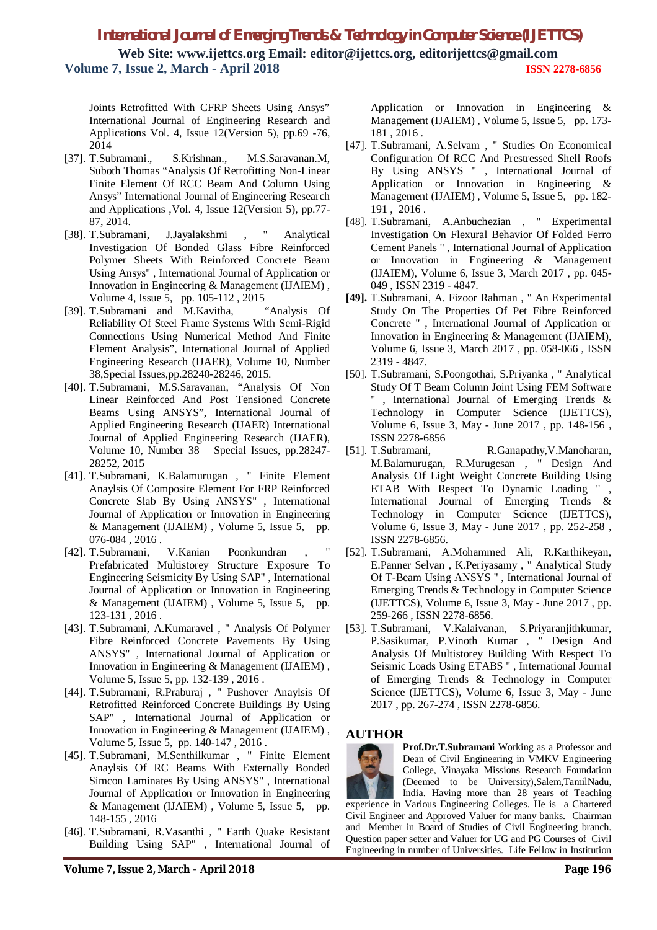Joints Retrofitted With CFRP Sheets Using Ansys" International Journal of Engineering Research and Applications Vol. 4, Issue 12(Version 5), pp.69 -76, 2014

- [37]. T.Subramani., S.Krishnan., M.S.Saravanan.M, Suboth Thomas "Analysis Of Retrofitting Non-Linear Finite Element Of RCC Beam And Column Using Ansys" International Journal of Engineering Research and Applications ,Vol. 4, Issue 12(Version 5), pp.77- 87, 2014.
- [38]. T.Subramani, J.Jayalakshmi , " Analytical Investigation Of Bonded Glass Fibre Reinforced Polymer Sheets With Reinforced Concrete Beam Using Ansys" , International Journal of Application or Innovation in Engineering & Management (IJAIEM) , Volume 4, Issue 5, pp. 105-112 , 2015
- [39]. T.Subramani and M.Kavitha, "Analysis Of Reliability Of Steel Frame Systems With Semi-Rigid Connections Using Numerical Method And Finite Element Analysis", International Journal of Applied Engineering Research (IJAER), Volume 10, Number 38,Special Issues,pp.28240-28246, 2015.
- [40]. T.Subramani, M.S.Saravanan, "Analysis Of Non Linear Reinforced And Post Tensioned Concrete Beams Using ANSYS", International Journal of Applied Engineering Research (IJAER) International Journal of Applied Engineering Research (IJAER), Volume 10, Number 38 Special Issues, pp.28247- 28252, 2015
- [41]. T.Subramani, K.Balamurugan , " Finite Element Anaylsis Of Composite Element For FRP Reinforced Concrete Slab By Using ANSYS" , International Journal of Application or Innovation in Engineering & Management (IJAIEM) , Volume 5, Issue 5, pp. 076-084 , 2016 .
- [42]. T.Subramani, V.Kanian Poonkundran Prefabricated Multistorey Structure Exposure To Engineering Seismicity By Using SAP" , International Journal of Application or Innovation in Engineering & Management (IJAIEM) , Volume 5, Issue 5, pp. 123-131 , 2016 .
- [43]. T.Subramani, A.Kumaravel , " Analysis Of Polymer Fibre Reinforced Concrete Pavements By Using ANSYS" , International Journal of Application or Innovation in Engineering & Management (IJAIEM) , Volume 5, Issue 5, pp. 132-139 , 2016 .
- [44]. T.Subramani, R.Praburaj , " Pushover Anaylsis Of Retrofitted Reinforced Concrete Buildings By Using SAP" , International Journal of Application or Innovation in Engineering & Management (IJAIEM) , Volume 5, Issue 5, pp. 140-147 , 2016 .
- [45]. T.Subramani, M.Senthilkumar , " Finite Element Anaylsis Of RC Beams With Externally Bonded Simcon Laminates By Using ANSYS" , International Journal of Application or Innovation in Engineering & Management (IJAIEM) , Volume 5, Issue 5, pp. 148-155 , 2016
- [46]. T.Subramani, R.Vasanthi , " Earth Quake Resistant Building Using SAP" , International Journal of

Application or Innovation in Engineering & Management (IJAIEM) , Volume 5, Issue 5, pp. 173- 181 , 2016 .

- [47]. T.Subramani, A.Selvam , " Studies On Economical Configuration Of RCC And Prestressed Shell Roofs By Using ANSYS " , International Journal of Application or Innovation in Engineering & Management (IJAIEM) , Volume 5, Issue 5, pp. 182- 191 , 2016 .
- [48]. T.Subramani, A.Anbuchezian , " Experimental Investigation On Flexural Behavior Of Folded Ferro Cement Panels " , International Journal of Application or Innovation in Engineering & Management (IJAIEM), Volume 6, Issue 3, March 2017 , pp. 045- 049 , ISSN 2319 - 4847.
- **[49].** T.Subramani, A. Fizoor Rahman , " An Experimental Study On The Properties Of Pet Fibre Reinforced Concrete " , International Journal of Application or Innovation in Engineering & Management (IJAIEM), Volume 6, Issue 3, March 2017 , pp. 058-066 , ISSN 2319 - 4847.
- [50]. T.Subramani, S.Poongothai, S.Priyanka , " Analytical Study Of T Beam Column Joint Using FEM Software " , International Journal of Emerging Trends & Technology in Computer Science (IJETTCS), Volume 6, Issue 3, May - June 2017 , pp. 148-156 , ISSN 2278-6856
- [51]. T.Subramani, R.Ganapathy,V.Manoharan, M.Balamurugan, R.Murugesan , " Design And Analysis Of Light Weight Concrete Building Using ETAB With Respect To Dynamic Loading " , International Journal of Emerging Trends & Technology in Computer Science (IJETTCS), Volume 6, Issue 3, May - June 2017 , pp. 252-258 , ISSN 2278-6856.
- [52]. T.Subramani, A.Mohammed Ali, R.Karthikeyan, E.Panner Selvan , K.Periyasamy , " Analytical Study Of T-Beam Using ANSYS " , International Journal of Emerging Trends & Technology in Computer Science (IJETTCS), Volume 6, Issue 3, May - June 2017 , pp. 259-266 , ISSN 2278-6856.
- [53]. T.Subramani, V.Kalaivanan, S.Priyaranjithkumar, P.Sasikumar, P.Vinoth Kumar , " Design And Analysis Of Multistorey Building With Respect To Seismic Loads Using ETABS " , International Journal of Emerging Trends & Technology in Computer Science (IJETTCS), Volume 6, Issue 3, May - June 2017 , pp. 267-274 , ISSN 2278-6856.

### **AUTHOR**



**Prof.Dr.T.Subramani** Working as a Professor and Dean of Civil Engineering in VMKV Engineering College, Vinayaka Missions Research Foundation (Deemed to be University),Salem,TamilNadu, India. Having more than 28 years of Teaching

experience in Various Engineering Colleges. He is a Chartered Civil Engineer and Approved Valuer for many banks. Chairman and Member in Board of Studies of Civil Engineering branch. Question paper setter and Valuer for UG and PG Courses of Civil Engineering in number of Universities. Life Fellow in Institution